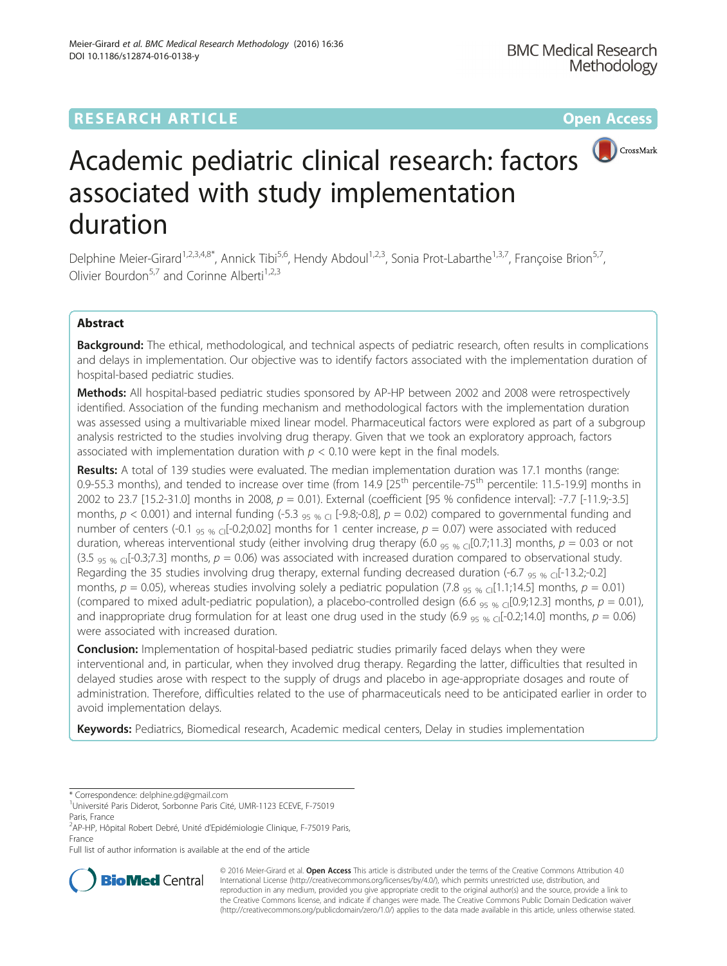## **RESEARCH ARTICLE External Structure Community Community Community Community Community Community Community Community**



# Academic pediatric clinical research: factors associated with study implementation duration

Delphine Meier-Girard<sup>1,2,3,4,8\*</sup>, Annick Tibi<sup>5,6</sup>, Hendy Abdoul<sup>1,2,3</sup>, Sonia Prot-Labarthe<sup>1,3,7</sup>, Françoise Brion<sup>5,7</sup>, Olivier Bourdon<sup>5,7</sup> and Corinne Alberti<sup>1,2,3</sup>

## Abstract

Background: The ethical, methodological, and technical aspects of pediatric research, often results in complications and delays in implementation. Our objective was to identify factors associated with the implementation duration of hospital-based pediatric studies.

Methods: All hospital-based pediatric studies sponsored by AP-HP between 2002 and 2008 were retrospectively identified. Association of the funding mechanism and methodological factors with the implementation duration was assessed using a multivariable mixed linear model. Pharmaceutical factors were explored as part of a subgroup analysis restricted to the studies involving drug therapy. Given that we took an exploratory approach, factors associated with implementation duration with  $p < 0.10$  were kept in the final models.

Results: A total of 139 studies were evaluated. The median implementation duration was 17.1 months (range: 0.9-55.3 months), and tended to increase over time (from 14.9  $[25^{th}$  percentile-75<sup>th</sup> percentile: 11.5-19.9] months in 2002 to 23.7 [15.2-31.0] months in 2008,  $p = 0.01$ ). External (coefficient [95 % confidence interval]: -7.7 [-11.9;-3.5] months,  $p < 0.001$ ) and internal funding (-5.3 <sub>95 % CI</sub> [-9.8;-0.8],  $p = 0.02$ ) compared to governmental funding and number of centers (-0.1 <sub>95 % CI</sub>[-0.2;0.02] months for 1 center increase,  $p = 0.07$ ) were associated with reduced duration, whereas interventional study (either involving drug therapy (6.0 <sub>95 % CI</sub>[0.7;11.3] months,  $p = 0.03$  or not (3.5  $_{95\%}$  CI<sup>-0.3;7.3]</sup> months,  $p = 0.06$ ) was associated with increased duration compared to observational study. Regarding the 35 studies involving drug therapy, external funding decreased duration (-6.7  $_{95\%}$  CI[-13.2;-0.2] months,  $p = 0.05$ ), whereas studies involving solely a pediatric population (7.8 <sub>95 % CI</sub>[1.1;14.5] months,  $p = 0.01$ ) (compared to mixed adult-pediatric population), a placebo-controlled design (6.6  $_{95\%}$  c[0.9;12.3] months,  $p = 0.01$ ), and inappropriate drug formulation for at least one drug used in the study (6.9 <sub>95 % CI</sub>[-0.2;14.0] months,  $p = 0.06$ ) were associated with increased duration.

**Conclusion:** Implementation of hospital-based pediatric studies primarily faced delays when they were interventional and, in particular, when they involved drug therapy. Regarding the latter, difficulties that resulted in delayed studies arose with respect to the supply of drugs and placebo in age-appropriate dosages and route of administration. Therefore, difficulties related to the use of pharmaceuticals need to be anticipated earlier in order to avoid implementation delays.

Keywords: Pediatrics, Biomedical research, Academic medical centers, Delay in studies implementation

\* Correspondence: [delphine.gd@gmail.com](mailto:delphine.gd@gmail.com) <sup>1</sup>

<sup>2</sup>AP-HP, Hôpital Robert Debré, Unité d'Epidémiologie Clinique, F-75019 Paris, France

Full list of author information is available at the end of the article



© 2016 Meier-Girard et al. Open Access This article is distributed under the terms of the Creative Commons Attribution 4.0 International License [\(http://creativecommons.org/licenses/by/4.0/](http://creativecommons.org/licenses/by/4.0/)), which permits unrestricted use, distribution, and reproduction in any medium, provided you give appropriate credit to the original author(s) and the source, provide a link to the Creative Commons license, and indicate if changes were made. The Creative Commons Public Domain Dedication waiver [\(http://creativecommons.org/publicdomain/zero/1.0/](http://creativecommons.org/publicdomain/zero/1.0/)) applies to the data made available in this article, unless otherwise stated.

<sup>&</sup>lt;sup>1</sup>Université Paris Diderot, Sorbonne Paris Cité, UMR-1123 ECEVE, F-75019 Paris, France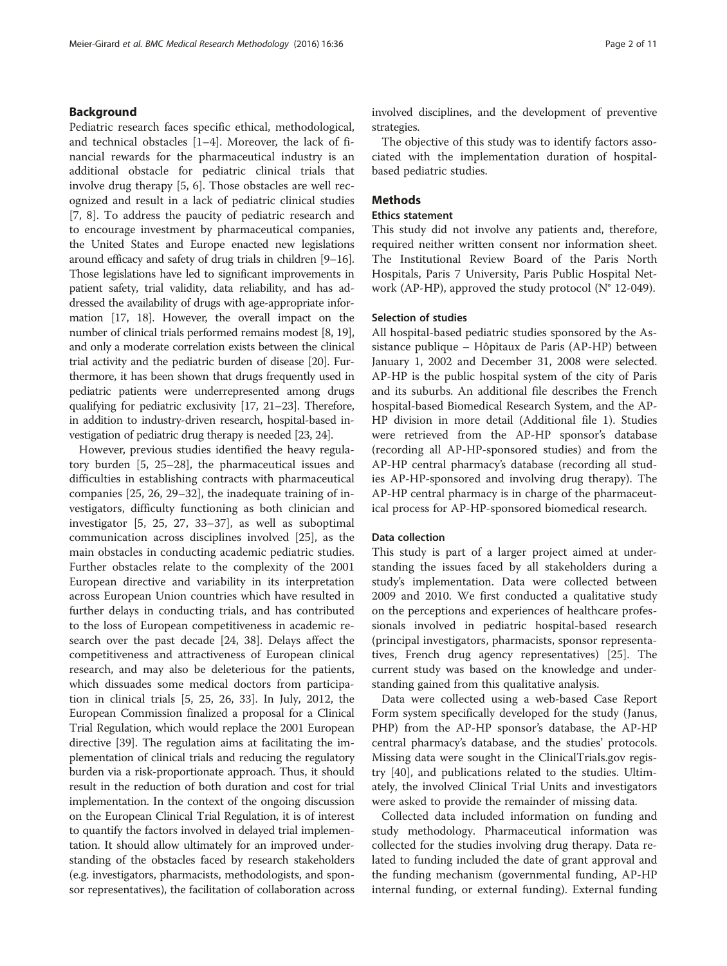## Background

Pediatric research faces specific ethical, methodological, and technical obstacles [[1](#page-9-0)–[4\]](#page-9-0). Moreover, the lack of financial rewards for the pharmaceutical industry is an additional obstacle for pediatric clinical trials that involve drug therapy [[5, 6\]](#page-9-0). Those obstacles are well recognized and result in a lack of pediatric clinical studies [[7, 8\]](#page-9-0). To address the paucity of pediatric research and to encourage investment by pharmaceutical companies, the United States and Europe enacted new legislations around efficacy and safety of drug trials in children [\[9](#page-9-0)–[16](#page-9-0)]. Those legislations have led to significant improvements in patient safety, trial validity, data reliability, and has addressed the availability of drugs with age-appropriate information [\[17, 18\]](#page-9-0). However, the overall impact on the number of clinical trials performed remains modest [\[8](#page-9-0), [19](#page-9-0)], and only a moderate correlation exists between the clinical trial activity and the pediatric burden of disease [[20](#page-9-0)]. Furthermore, it has been shown that drugs frequently used in pediatric patients were underrepresented among drugs qualifying for pediatric exclusivity [\[17, 21](#page-9-0)–[23](#page-9-0)]. Therefore, in addition to industry-driven research, hospital-based investigation of pediatric drug therapy is needed [\[23, 24\]](#page-9-0).

However, previous studies identified the heavy regulatory burden [[5, 25](#page-9-0)–[28](#page-9-0)], the pharmaceutical issues and difficulties in establishing contracts with pharmaceutical companies [\[25](#page-9-0), [26](#page-9-0), [29](#page-9-0)–[32\]](#page-9-0), the inadequate training of investigators, difficulty functioning as both clinician and investigator [[5, 25, 27](#page-9-0), [33](#page-9-0)–[37](#page-9-0)], as well as suboptimal communication across disciplines involved [[25\]](#page-9-0), as the main obstacles in conducting academic pediatric studies. Further obstacles relate to the complexity of the 2001 European directive and variability in its interpretation across European Union countries which have resulted in further delays in conducting trials, and has contributed to the loss of European competitiveness in academic research over the past decade [[24](#page-9-0), [38\]](#page-9-0). Delays affect the competitiveness and attractiveness of European clinical research, and may also be deleterious for the patients, which dissuades some medical doctors from participation in clinical trials [\[5](#page-9-0), [25, 26](#page-9-0), [33\]](#page-9-0). In July, 2012, the European Commission finalized a proposal for a Clinical Trial Regulation, which would replace the 2001 European directive [[39](#page-9-0)]. The regulation aims at facilitating the implementation of clinical trials and reducing the regulatory burden via a risk-proportionate approach. Thus, it should result in the reduction of both duration and cost for trial implementation. In the context of the ongoing discussion on the European Clinical Trial Regulation, it is of interest to quantify the factors involved in delayed trial implementation. It should allow ultimately for an improved understanding of the obstacles faced by research stakeholders (e.g. investigators, pharmacists, methodologists, and sponsor representatives), the facilitation of collaboration across involved disciplines, and the development of preventive strategies.

The objective of this study was to identify factors associated with the implementation duration of hospitalbased pediatric studies.

#### Methods

#### Ethics statement

This study did not involve any patients and, therefore, required neither written consent nor information sheet. The Institutional Review Board of the Paris North Hospitals, Paris 7 University, Paris Public Hospital Network (AP-HP), approved the study protocol (N° 12-049).

#### Selection of studies

All hospital-based pediatric studies sponsored by the Assistance publique – Hôpitaux de Paris (AP-HP) between January 1, 2002 and December 31, 2008 were selected. AP-HP is the public hospital system of the city of Paris and its suburbs. An additional file describes the French hospital-based Biomedical Research System, and the AP-HP division in more detail (Additional file [1\)](#page-8-0). Studies were retrieved from the AP-HP sponsor's database (recording all AP-HP-sponsored studies) and from the AP-HP central pharmacy's database (recording all studies AP-HP-sponsored and involving drug therapy). The AP-HP central pharmacy is in charge of the pharmaceutical process for AP-HP-sponsored biomedical research.

#### Data collection

This study is part of a larger project aimed at understanding the issues faced by all stakeholders during a study's implementation. Data were collected between 2009 and 2010. We first conducted a qualitative study on the perceptions and experiences of healthcare professionals involved in pediatric hospital-based research (principal investigators, pharmacists, sponsor representatives, French drug agency representatives) [[25\]](#page-9-0). The current study was based on the knowledge and understanding gained from this qualitative analysis.

Data were collected using a web-based Case Report Form system specifically developed for the study (Janus, PHP) from the AP-HP sponsor's database, the AP-HP central pharmacy's database, and the studies' protocols. Missing data were sought in the ClinicalTrials.gov registry [\[40](#page-9-0)], and publications related to the studies. Ultimately, the involved Clinical Trial Units and investigators were asked to provide the remainder of missing data.

Collected data included information on funding and study methodology. Pharmaceutical information was collected for the studies involving drug therapy. Data related to funding included the date of grant approval and the funding mechanism (governmental funding, AP-HP internal funding, or external funding). External funding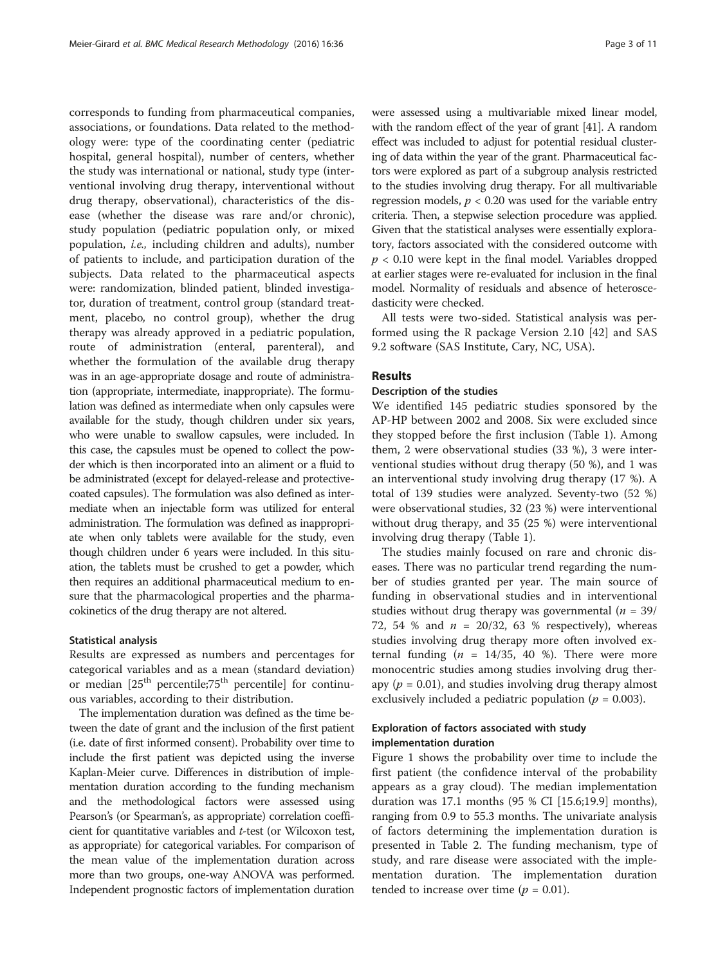corresponds to funding from pharmaceutical companies, associations, or foundations. Data related to the methodology were: type of the coordinating center (pediatric hospital, general hospital), number of centers, whether the study was international or national, study type (interventional involving drug therapy, interventional without drug therapy, observational), characteristics of the disease (whether the disease was rare and/or chronic), study population (pediatric population only, or mixed population, i.e., including children and adults), number of patients to include, and participation duration of the subjects. Data related to the pharmaceutical aspects were: randomization, blinded patient, blinded investigator, duration of treatment, control group (standard treatment, placebo, no control group), whether the drug therapy was already approved in a pediatric population, route of administration (enteral, parenteral), and whether the formulation of the available drug therapy was in an age-appropriate dosage and route of administration (appropriate, intermediate, inappropriate). The formulation was defined as intermediate when only capsules were available for the study, though children under six years, who were unable to swallow capsules, were included. In this case, the capsules must be opened to collect the powder which is then incorporated into an aliment or a fluid to be administrated (except for delayed-release and protectivecoated capsules). The formulation was also defined as intermediate when an injectable form was utilized for enteral administration. The formulation was defined as inappropriate when only tablets were available for the study, even though children under 6 years were included. In this situation, the tablets must be crushed to get a powder, which then requires an additional pharmaceutical medium to ensure that the pharmacological properties and the pharmacokinetics of the drug therapy are not altered.

#### Statistical analysis

Results are expressed as numbers and percentages for categorical variables and as a mean (standard deviation) or median [25<sup>th</sup> percentile;75<sup>th</sup> percentile] for continuous variables, according to their distribution.

The implementation duration was defined as the time between the date of grant and the inclusion of the first patient (i.e. date of first informed consent). Probability over time to include the first patient was depicted using the inverse Kaplan-Meier curve. Differences in distribution of implementation duration according to the funding mechanism and the methodological factors were assessed using Pearson's (or Spearman's, as appropriate) correlation coefficient for quantitative variables and t-test (or Wilcoxon test, as appropriate) for categorical variables. For comparison of the mean value of the implementation duration across more than two groups, one-way ANOVA was performed. Independent prognostic factors of implementation duration were assessed using a multivariable mixed linear model, with the random effect of the year of grant [\[41\]](#page-9-0). A random effect was included to adjust for potential residual clustering of data within the year of the grant. Pharmaceutical factors were explored as part of a subgroup analysis restricted to the studies involving drug therapy. For all multivariable regression models,  $p < 0.20$  was used for the variable entry criteria. Then, a stepwise selection procedure was applied. Given that the statistical analyses were essentially exploratory, factors associated with the considered outcome with  $p < 0.10$  were kept in the final model. Variables dropped at earlier stages were re-evaluated for inclusion in the final model. Normality of residuals and absence of heteroscedasticity were checked.

All tests were two-sided. Statistical analysis was performed using the R package Version 2.10 [[42\]](#page-9-0) and SAS 9.2 software (SAS Institute, Cary, NC, USA).

## Results

#### Description of the studies

We identified 145 pediatric studies sponsored by the AP-HP between 2002 and 2008. Six were excluded since they stopped before the first inclusion (Table [1\)](#page-3-0). Among them, 2 were observational studies (33 %), 3 were interventional studies without drug therapy (50 %), and 1 was an interventional study involving drug therapy (17 %). A total of 139 studies were analyzed. Seventy-two (52 %) were observational studies, 32 (23 %) were interventional without drug therapy, and 35 (25 %) were interventional involving drug therapy (Table [1\)](#page-3-0).

The studies mainly focused on rare and chronic diseases. There was no particular trend regarding the number of studies granted per year. The main source of funding in observational studies and in interventional studies without drug therapy was governmental  $(n = 39/$ 72, 54 % and  $n = 20/32$ , 63 % respectively), whereas studies involving drug therapy more often involved external funding ( $n = 14/35$ , 40 %). There were more monocentric studies among studies involving drug therapy ( $p = 0.01$ ), and studies involving drug therapy almost exclusively included a pediatric population ( $p = 0.003$ ).

#### Exploration of factors associated with study implementation duration

Figure [1](#page-4-0) shows the probability over time to include the first patient (the confidence interval of the probability appears as a gray cloud). The median implementation duration was 17.1 months (95 % CI [15.6;19.9] months), ranging from 0.9 to 55.3 months. The univariate analysis of factors determining the implementation duration is presented in Table [2.](#page-5-0) The funding mechanism, type of study, and rare disease were associated with the implementation duration. The implementation duration tended to increase over time ( $p = 0.01$ ).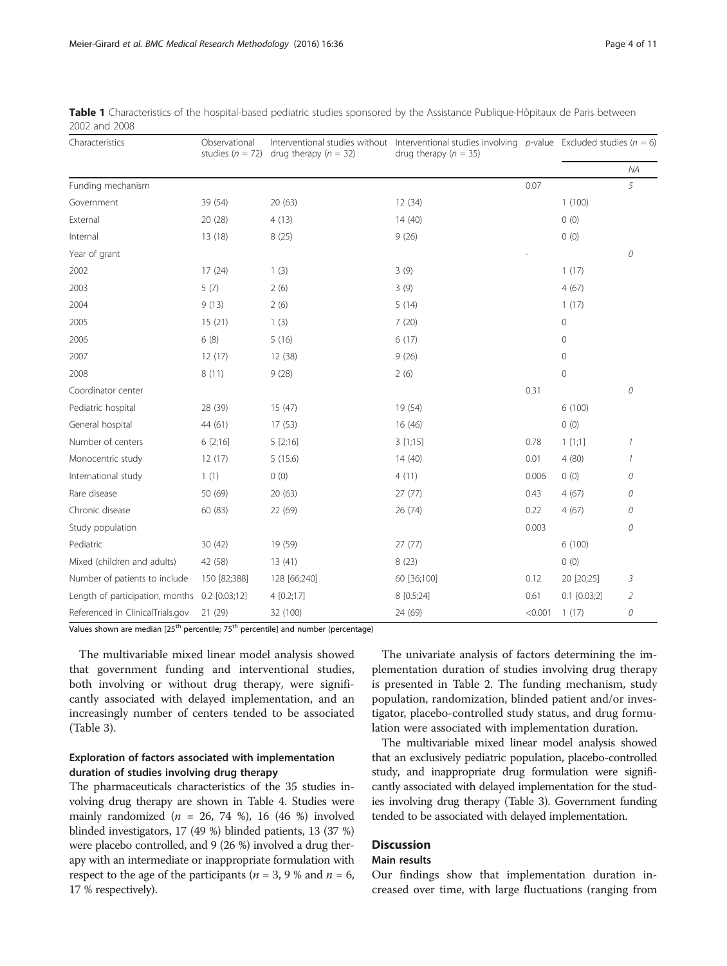| Characteristics                  | Observational<br>studies ( $n = 72$ ) | drug therapy $(n = 32)$ | Interventional studies without Interventional studies involving p-value Excluded studies ( $n = 6$ )<br>drug therapy ( $n = 35$ ) |         |                |               |
|----------------------------------|---------------------------------------|-------------------------|-----------------------------------------------------------------------------------------------------------------------------------|---------|----------------|---------------|
|                                  |                                       |                         |                                                                                                                                   |         |                | <b>NA</b>     |
| Funding mechanism                |                                       |                         |                                                                                                                                   | 0.07    |                | 5             |
| Government                       | 39 (54)                               | 20(63)                  | 12(34)                                                                                                                            |         | 1(100)         |               |
| External                         | 20 (28)                               | 4(13)                   | 14(40)                                                                                                                            |         | 0(0)           |               |
| Internal                         | 13 (18)                               | 8(25)                   | 9(26)                                                                                                                             |         | 0(0)           |               |
| Year of grant                    |                                       |                         |                                                                                                                                   |         |                | 0             |
| 2002                             | 17(24)                                | 1(3)                    | 3(9)                                                                                                                              |         | 1(17)          |               |
| 2003                             | 5(7)                                  | 2(6)                    | 3(9)                                                                                                                              |         | 4(67)          |               |
| 2004                             | 9(13)                                 | 2(6)                    | 5(14)                                                                                                                             |         | 1(17)          |               |
| 2005                             | 15(21)                                | 1(3)                    | 7(20)                                                                                                                             |         | $\mathbf 0$    |               |
| 2006                             | 6(8)                                  | 5(16)                   | 6(17)                                                                                                                             |         | 0              |               |
| 2007                             | 12(17)                                | 12 (38)                 | 9(26)                                                                                                                             |         | 0              |               |
| 2008                             | 8(11)                                 | 9(28)                   | 2(6)                                                                                                                              |         | $\mathbf 0$    |               |
| Coordinator center               |                                       |                         |                                                                                                                                   | 0.31    |                | 0             |
| Pediatric hospital               | 28 (39)                               | 15(47)                  | 19 (54)                                                                                                                           |         | 6(100)         |               |
| General hospital                 | 44 (61)                               | 17(53)                  | 16 (46)                                                                                                                           |         | 0(0)           |               |
| Number of centers                | 6[2;16]                               | 5[2;16]                 | 3[1;15]                                                                                                                           | 0.78    | 1[1;1]         | $\mathcal{I}$ |
| Monocentric study                | 12(17)                                | 5(15.6)                 | 14(40)                                                                                                                            | 0.01    | 4(80)          | $\mathcal{I}$ |
| International study              | 1(1)                                  | 0(0)                    | 4(11)                                                                                                                             | 0.006   | 0(0)           | 0             |
| Rare disease                     | 50 (69)                               | 20(63)                  | 27(77)                                                                                                                            | 0.43    | 4(67)          | 0             |
| Chronic disease                  | 60 (83)                               | 22 (69)                 | 26 (74)                                                                                                                           | 0.22    | 4(67)          | 0             |
| Study population                 |                                       |                         |                                                                                                                                   | 0.003   |                | 0             |
| Pediatric                        | 30(42)                                | 19 (59)                 | 27(77)                                                                                                                            |         | 6(100)         |               |
| Mixed (children and adults)      | 42 (58)                               | 13(41)                  | 8(23)                                                                                                                             |         | 0(0)           |               |
| Number of patients to include    | 150 [82;388]                          | 128 [66;240]            | 60 [36;100]                                                                                                                       | 0.12    | 20 [20;25]     | 3             |
| Length of participation, months  | $0.2$ [0.03;12]                       | 4 [0.2; 17]             | 8 [0.5;24]                                                                                                                        | 0.61    | $0.1$ [0.03;2] | 2             |
| Referenced in ClinicalTrials.gov | 21(29)                                | 32 (100)                | 24 (69)                                                                                                                           | < 0.001 | 1(17)          | 0             |

<span id="page-3-0"></span>Table 1 Characteristics of the hospital-based pediatric studies sponsored by the Assistance Publique-Hôpitaux de Paris between 2002 and 2008

Values shown are median [25<sup>th</sup> percentile; 75<sup>th</sup> percentile] and number (percentage)

The multivariable mixed linear model analysis showed that government funding and interventional studies, both involving or without drug therapy, were significantly associated with delayed implementation, and an increasingly number of centers tended to be associated (Table [3\)](#page-7-0).

## Exploration of factors associated with implementation duration of studies involving drug therapy

The pharmaceuticals characteristics of the 35 studies involving drug therapy are shown in Table [4](#page-8-0). Studies were mainly randomized ( $n = 26, 74$  %), 16 (46 %) involved blinded investigators, 17 (49 %) blinded patients, 13 (37 %) were placebo controlled, and 9 (26 %) involved a drug therapy with an intermediate or inappropriate formulation with respect to the age of the participants ( $n = 3, 9$  % and  $n = 6$ , 17 % respectively).

The univariate analysis of factors determining the implementation duration of studies involving drug therapy is presented in Table [2.](#page-5-0) The funding mechanism, study population, randomization, blinded patient and/or investigator, placebo-controlled study status, and drug formulation were associated with implementation duration.

The multivariable mixed linear model analysis showed that an exclusively pediatric population, placebo-controlled study, and inappropriate drug formulation were significantly associated with delayed implementation for the studies involving drug therapy (Table [3\)](#page-7-0). Government funding tended to be associated with delayed implementation.

## **Discussion**

## Main results

Our findings show that implementation duration increased over time, with large fluctuations (ranging from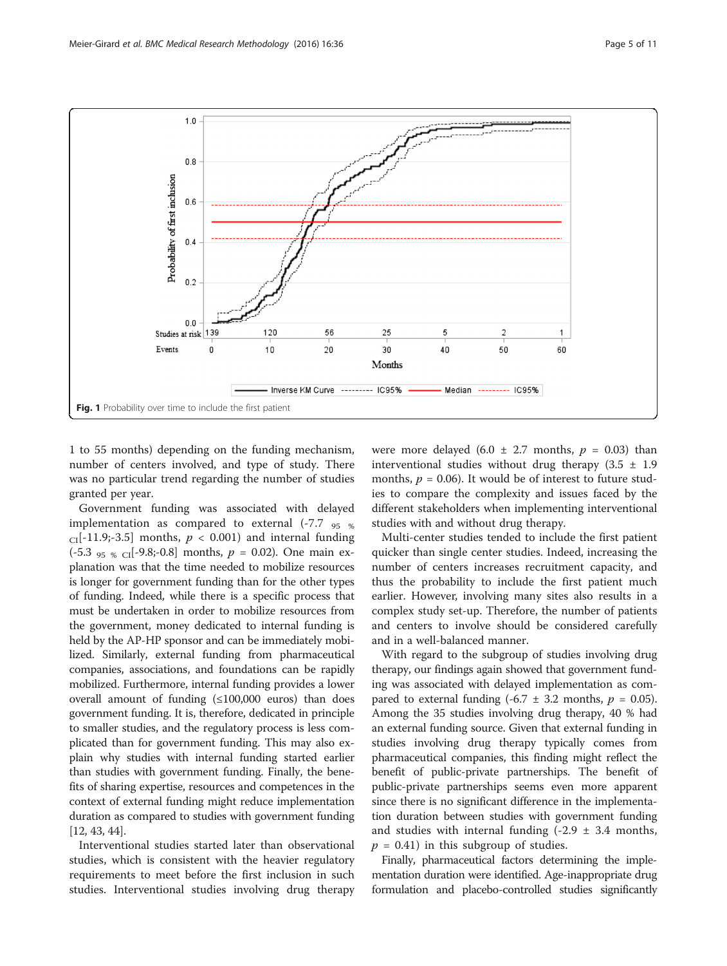<span id="page-4-0"></span>

1 to 55 months) depending on the funding mechanism, number of centers involved, and type of study. There was no particular trend regarding the number of studies granted per year.

Government funding was associated with delayed implementation as compared to external  $(-7.7)$   $_{95}$  %  $_{\text{CI}}$ [-11.9;-3.5] months,  $p < 0.001$ ) and internal funding  $(-5.3 \,_{95} \,_{\%} \,_{Cl}[-9.8; -0.8]$  months,  $p = 0.02$ ). One main explanation was that the time needed to mobilize resources is longer for government funding than for the other types of funding. Indeed, while there is a specific process that must be undertaken in order to mobilize resources from the government, money dedicated to internal funding is held by the AP-HP sponsor and can be immediately mobilized. Similarly, external funding from pharmaceutical companies, associations, and foundations can be rapidly mobilized. Furthermore, internal funding provides a lower overall amount of funding (≤100,000 euros) than does government funding. It is, therefore, dedicated in principle to smaller studies, and the regulatory process is less complicated than for government funding. This may also explain why studies with internal funding started earlier than studies with government funding. Finally, the benefits of sharing expertise, resources and competences in the context of external funding might reduce implementation duration as compared to studies with government funding [[12](#page-9-0), [43, 44](#page-9-0)].

Interventional studies started later than observational studies, which is consistent with the heavier regulatory requirements to meet before the first inclusion in such studies. Interventional studies involving drug therapy

were more delayed (6.0  $\pm$  2.7 months,  $p = 0.03$ ) than interventional studies without drug therapy  $(3.5 \pm 1.9)$ months,  $p = 0.06$ ). It would be of interest to future studies to compare the complexity and issues faced by the different stakeholders when implementing interventional studies with and without drug therapy.

Multi-center studies tended to include the first patient quicker than single center studies. Indeed, increasing the number of centers increases recruitment capacity, and thus the probability to include the first patient much earlier. However, involving many sites also results in a complex study set-up. Therefore, the number of patients and centers to involve should be considered carefully and in a well-balanced manner.

With regard to the subgroup of studies involving drug therapy, our findings again showed that government funding was associated with delayed implementation as compared to external funding  $(-6.7 \pm 3.2 \text{ months}, p = 0.05)$ . Among the 35 studies involving drug therapy, 40 % had an external funding source. Given that external funding in studies involving drug therapy typically comes from pharmaceutical companies, this finding might reflect the benefit of public-private partnerships. The benefit of public-private partnerships seems even more apparent since there is no significant difference in the implementation duration between studies with government funding and studies with internal funding  $(-2.9 \pm 3.4 \text{ months},$  $p = 0.41$ ) in this subgroup of studies.

Finally, pharmaceutical factors determining the implementation duration were identified. Age-inappropriate drug formulation and placebo-controlled studies significantly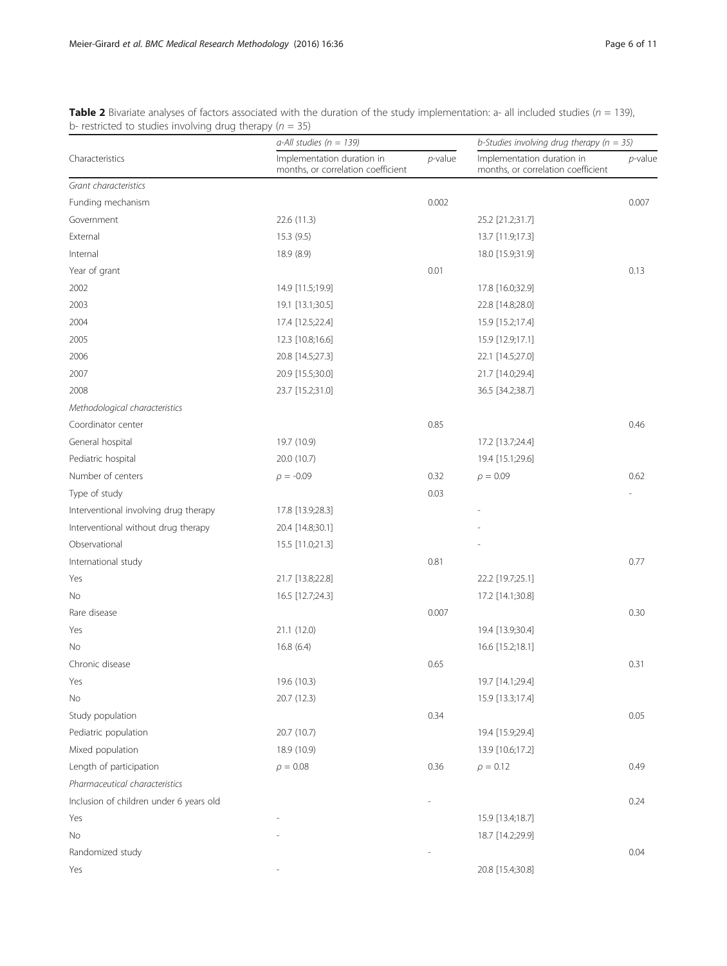|                                         | $a$ -All studies ( $n = 139$ )                                   |            | b-Studies involving drug therapy ( $n = 35$ )                    |            |  |
|-----------------------------------------|------------------------------------------------------------------|------------|------------------------------------------------------------------|------------|--|
| Characteristics                         | Implementation duration in<br>months, or correlation coefficient | $p$ -value | Implementation duration in<br>months, or correlation coefficient | $p$ -value |  |
| Grant characteristics                   |                                                                  |            |                                                                  |            |  |
| Funding mechanism                       |                                                                  | 0.002      |                                                                  | 0.007      |  |
| Government                              | 22.6(11.3)                                                       |            | 25.2 [21.2;31.7]                                                 |            |  |
| External                                | 15.3(9.5)                                                        |            | 13.7 [11.9;17.3]                                                 |            |  |
| Internal                                | 18.9 (8.9)                                                       |            | 18.0 [15.9;31.9]                                                 |            |  |
| Year of grant                           |                                                                  | 0.01       |                                                                  | 0.13       |  |
| 2002                                    | 14.9 [11.5;19.9]                                                 |            | 17.8 [16.0;32.9]                                                 |            |  |
| 2003                                    | 19.1 [13.1;30.5]                                                 |            | 22.8 [14.8;28.0]                                                 |            |  |
| 2004                                    | 17.4 [12.5;22.4]                                                 |            | 15.9 [15.2;17.4]                                                 |            |  |
| 2005                                    | 12.3 [10.8;16.6]                                                 |            | 15.9 [12.9;17.1]                                                 |            |  |
| 2006                                    | 20.8 [14.5;27.3]                                                 |            | 22.1 [14.5;27.0]                                                 |            |  |
| 2007                                    | 20.9 [15.5;30.0]                                                 |            | 21.7 [14.0;29.4]                                                 |            |  |
| 2008                                    | 23.7 [15.2;31.0]                                                 |            | 36.5 [34.2;38.7]                                                 |            |  |
| Methodological characteristics          |                                                                  |            |                                                                  |            |  |
| Coordinator center                      |                                                                  | 0.85       |                                                                  | 0.46       |  |
| General hospital                        | 19.7 (10.9)                                                      |            | 17.2 [13.7;24.4]                                                 |            |  |
| Pediatric hospital                      | 20.0 (10.7)                                                      |            | 19.4 [15.1;29.6]                                                 |            |  |
| Number of centers                       | $\rho = -0.09$                                                   | 0.32       | $\rho = 0.09$                                                    | 0.62       |  |
| Type of study                           |                                                                  | 0.03       |                                                                  |            |  |
| Interventional involving drug therapy   | 17.8 [13.9;28.3]                                                 |            |                                                                  |            |  |
| Interventional without drug therapy     | 20.4 [14.8;30.1]                                                 |            |                                                                  |            |  |
| Observational                           | 15.5 [11.0;21.3]                                                 |            |                                                                  |            |  |
| International study                     |                                                                  | 0.81       |                                                                  | 0.77       |  |
| Yes                                     | 21.7 [13.8;22.8]                                                 |            | 22.2 [19.7;25.1]                                                 |            |  |
| No                                      | 16.5 [12.7;24.3]                                                 |            | 17.2 [14.1;30.8]                                                 |            |  |
| Rare disease                            |                                                                  | 0.007      |                                                                  | 0.30       |  |
| Yes                                     | 21.1 (12.0)                                                      |            | 19.4 [13.9;30.4]                                                 |            |  |
| No                                      | 16.8(6.4)                                                        |            | 16.6 [15.2;18.1]                                                 |            |  |
| Chronic disease                         |                                                                  | 0.65       |                                                                  | 0.31       |  |
| Yes                                     | 19.6 (10.3)                                                      |            | 19.7 [14.1;29.4]                                                 |            |  |
| No                                      | 20.7 (12.3)                                                      |            | 15.9 [13.3;17.4]                                                 |            |  |
| Study population                        |                                                                  | 0.34       |                                                                  | 0.05       |  |
| Pediatric population                    | 20.7 (10.7)                                                      |            | 19.4 [15.9;29.4]                                                 |            |  |
| Mixed population                        | 18.9 (10.9)                                                      |            | 13.9 [10.6;17.2]                                                 |            |  |
| Length of participation                 | $\rho = 0.08$                                                    | 0.36       | $\rho = 0.12$                                                    | 0.49       |  |
| Pharmaceutical characteristics          |                                                                  |            |                                                                  |            |  |
| Inclusion of children under 6 years old |                                                                  |            |                                                                  | 0.24       |  |
| Yes                                     |                                                                  |            | 15.9 [13.4;18.7]                                                 |            |  |
| No                                      |                                                                  |            | 18.7 [14.2;29.9]                                                 |            |  |
| Randomized study                        |                                                                  |            |                                                                  | 0.04       |  |
| Yes                                     |                                                                  |            | 20.8 [15.4;30.8]                                                 |            |  |

<span id="page-5-0"></span>Table 2 Bivariate analyses of factors associated with the duration of the study implementation: a- all included studies ( $n = 139$ ), b- restricted to studies involving drug therapy ( $n = 35$ )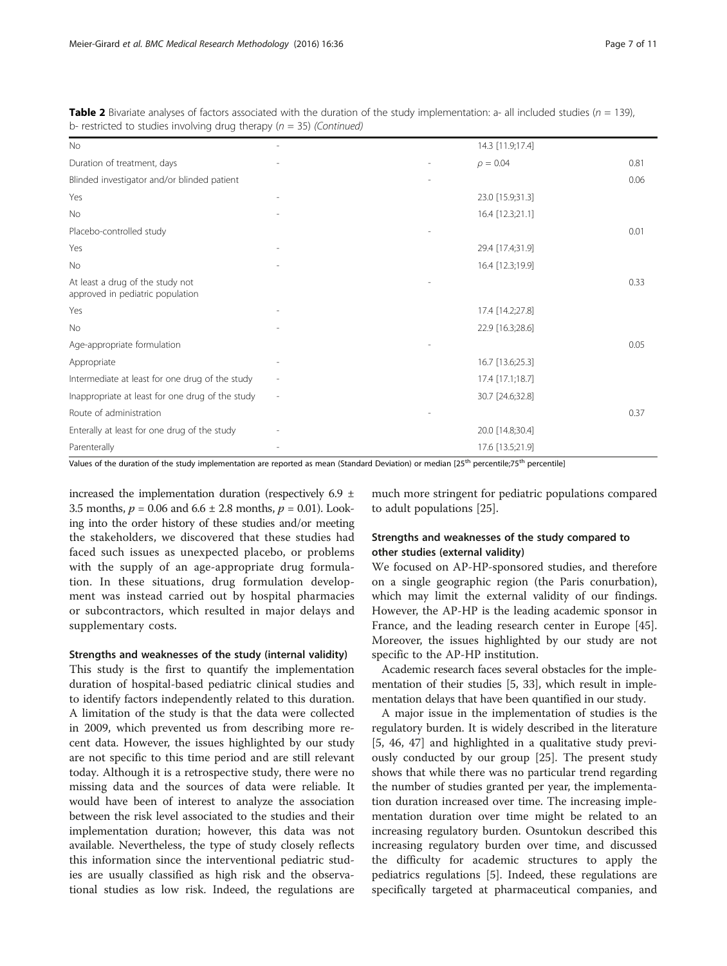|                                                                          | <b>Table 2</b> Bivariate analyses of factors associated with the duration of the study implementation: a- all included studies ( $n = 139$ ), |
|--------------------------------------------------------------------------|-----------------------------------------------------------------------------------------------------------------------------------------------|
| b- restricted to studies involving drug therapy ( $n = 35$ ) (Continued) |                                                                                                                                               |

| <b>No</b>                                                            |                          | 14.3 [11.9;17.4] |      |
|----------------------------------------------------------------------|--------------------------|------------------|------|
| Duration of treatment, days                                          |                          | $\rho = 0.04$    | 0.81 |
| Blinded investigator and/or blinded patient                          |                          |                  | 0.06 |
| Yes                                                                  | $\overline{\phantom{0}}$ | 23.0 [15.9;31.3] |      |
| No                                                                   |                          | 16.4 [12.3;21.1] |      |
| Placebo-controlled study                                             |                          |                  | 0.01 |
| Yes                                                                  |                          | 29.4 [17.4;31.9] |      |
| No                                                                   |                          | 16.4 [12.3;19.9] |      |
| At least a drug of the study not<br>approved in pediatric population |                          |                  | 0.33 |
| Yes                                                                  |                          | 17.4 [14.2;27.8] |      |
| No                                                                   |                          | 22.9 [16.3;28.6] |      |
| Age-appropriate formulation                                          |                          |                  | 0.05 |
| Appropriate                                                          |                          | 16.7 [13.6;25.3] |      |
| Intermediate at least for one drug of the study                      |                          | 17.4 [17.1;18.7] |      |
| Inappropriate at least for one drug of the study                     | $\overline{\phantom{a}}$ | 30.7 [24.6;32.8] |      |
| Route of administration                                              |                          |                  | 0.37 |
| Enterally at least for one drug of the study                         |                          | 20.0 [14.8;30.4] |      |
| Parenterally                                                         |                          | 17.6 [13.5;21.9] |      |

Values of the duration of the study implementation are reported as mean (Standard Deviation) or median [25<sup>th</sup> percentile;75<sup>th</sup> percentile]

increased the implementation duration (respectively 6.9  $\pm$ 3.5 months,  $p = 0.06$  and  $6.6 \pm 2.8$  months,  $p = 0.01$ ). Looking into the order history of these studies and/or meeting the stakeholders, we discovered that these studies had faced such issues as unexpected placebo, or problems with the supply of an age-appropriate drug formulation. In these situations, drug formulation development was instead carried out by hospital pharmacies or subcontractors, which resulted in major delays and supplementary costs.

## Strengths and weaknesses of the study (internal validity)

This study is the first to quantify the implementation duration of hospital-based pediatric clinical studies and to identify factors independently related to this duration. A limitation of the study is that the data were collected in 2009, which prevented us from describing more recent data. However, the issues highlighted by our study are not specific to this time period and are still relevant today. Although it is a retrospective study, there were no missing data and the sources of data were reliable. It would have been of interest to analyze the association between the risk level associated to the studies and their implementation duration; however, this data was not available. Nevertheless, the type of study closely reflects this information since the interventional pediatric studies are usually classified as high risk and the observational studies as low risk. Indeed, the regulations are much more stringent for pediatric populations compared to adult populations [[25](#page-9-0)].

## Strengths and weaknesses of the study compared to other studies (external validity)

We focused on AP-HP-sponsored studies, and therefore on a single geographic region (the Paris conurbation), which may limit the external validity of our findings. However, the AP-HP is the leading academic sponsor in France, and the leading research center in Europe [\[45](#page-10-0)]. Moreover, the issues highlighted by our study are not specific to the AP-HP institution.

Academic research faces several obstacles for the implementation of their studies [[5, 33](#page-9-0)], which result in implementation delays that have been quantified in our study.

A major issue in the implementation of studies is the regulatory burden. It is widely described in the literature [[5,](#page-9-0) [46, 47](#page-10-0)] and highlighted in a qualitative study previously conducted by our group [[25\]](#page-9-0). The present study shows that while there was no particular trend regarding the number of studies granted per year, the implementation duration increased over time. The increasing implementation duration over time might be related to an increasing regulatory burden. Osuntokun described this increasing regulatory burden over time, and discussed the difficulty for academic structures to apply the pediatrics regulations [\[5](#page-9-0)]. Indeed, these regulations are specifically targeted at pharmaceutical companies, and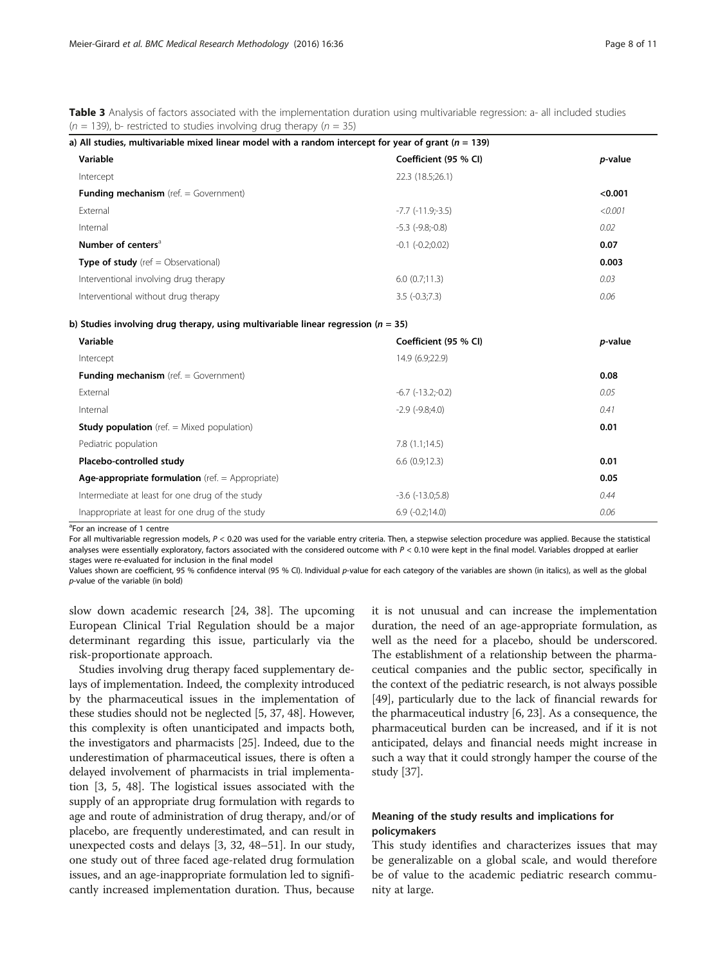<span id="page-7-0"></span>Table 3 Analysis of factors associated with the implementation duration using multivariable regression: a- all included studies  $(n = 139)$ , b- restricted to studies involving drug therapy  $(n = 35)$ 

| a) All studies, multivariable mixed linear model with a random intercept for year of grant ( $n = 139$ ) |                       |         |  |
|----------------------------------------------------------------------------------------------------------|-----------------------|---------|--|
| Variable                                                                                                 | Coefficient (95 % CI) | p-value |  |
| Intercept                                                                                                | 22.3 (18.5;26.1)      |         |  |
| <b>Funding mechanism</b> (ref. $=$ Government)                                                           |                       | < 0.001 |  |
| External                                                                                                 | $-7.7$ $(-11.9,-3.5)$ | < 0.001 |  |
| Internal                                                                                                 | $-5.3$ $(-9.8; -0.8)$ | 0.02    |  |
| Number of centers <sup>a</sup>                                                                           | $-0.1$ $(-0.2;0.02)$  | 0.07    |  |
| <b>Type of study</b> (ref $=$ Observational)                                                             |                       | 0.003   |  |
| Interventional involving drug therapy                                                                    | 6.0(0.7;11.3)         | 0.03    |  |
| Interventional without drug therapy                                                                      | $3.5(-0.3:7.3)$       | 0.06    |  |

b) Studies involving drug therapy, using multivariable linear regression ( $n = 35$ )

| Variable                                            | Coefficient (95 % CI) | <i>p</i> -value |
|-----------------------------------------------------|-----------------------|-----------------|
| Intercept                                           | 14.9 (6.9;22.9)       |                 |
| <b>Funding mechanism</b> (ref. $=$ Government)      |                       | 0.08            |
| External                                            | $-6.7$ $(-13.2,-0.2)$ | 0.05            |
| Internal                                            | $-2.9$ $(-9.8:4.0)$   | 0.41            |
| <b>Study population</b> (ref. $=$ Mixed population) |                       | 0.01            |
| Pediatric population                                | 7.8(1.1;14.5)         |                 |
| Placebo-controlled study                            | 6.6(0.9;12.3)         | 0.01            |
| Age-appropriate formulation ( $ref. =$ Appropriate) |                       | 0.05            |
| Intermediate at least for one drug of the study     | $-3.6$ $(-13.0;5.8)$  | 0.44            |
| Inappropriate at least for one drug of the study    | $6.9$ $(-0.2;14.0)$   | 0.06            |

<sup>a</sup>For an increase of 1 centre

For all multivariable regression models, P < 0.20 was used for the variable entry criteria. Then, a stepwise selection procedure was applied. Because the statistical analyses were essentially exploratory, factors associated with the considered outcome with P < 0.10 were kept in the final model. Variables dropped at earlier stages were re-evaluated for inclusion in the final model

Values shown are coefficient, 95 % confidence interval (95 % CI). Individual p-value for each category of the variables are shown (in italics), as well as the global p-value of the variable (in bold)

slow down academic research [[24, 38\]](#page-9-0). The upcoming European Clinical Trial Regulation should be a major determinant regarding this issue, particularly via the risk-proportionate approach.

Studies involving drug therapy faced supplementary delays of implementation. Indeed, the complexity introduced by the pharmaceutical issues in the implementation of these studies should not be neglected [[5](#page-9-0), [37,](#page-9-0) [48](#page-10-0)]. However, this complexity is often unanticipated and impacts both, the investigators and pharmacists [\[25\]](#page-9-0). Indeed, due to the underestimation of pharmaceutical issues, there is often a delayed involvement of pharmacists in trial implementation [\[3](#page-9-0), [5,](#page-9-0) [48](#page-10-0)]. The logistical issues associated with the supply of an appropriate drug formulation with regards to age and route of administration of drug therapy, and/or of placebo, are frequently underestimated, and can result in unexpected costs and delays [\[3](#page-9-0), [32](#page-9-0), [48](#page-10-0)–[51](#page-10-0)]. In our study, one study out of three faced age-related drug formulation issues, and an age-inappropriate formulation led to significantly increased implementation duration. Thus, because

it is not unusual and can increase the implementation duration, the need of an age-appropriate formulation, as well as the need for a placebo, should be underscored. The establishment of a relationship between the pharmaceutical companies and the public sector, specifically in the context of the pediatric research, is not always possible [[49](#page-10-0)], particularly due to the lack of financial rewards for the pharmaceutical industry [\[6](#page-9-0), [23\]](#page-9-0). As a consequence, the pharmaceutical burden can be increased, and if it is not anticipated, delays and financial needs might increase in such a way that it could strongly hamper the course of the study [[37\]](#page-9-0).

## Meaning of the study results and implications for policymakers

This study identifies and characterizes issues that may be generalizable on a global scale, and would therefore be of value to the academic pediatric research community at large.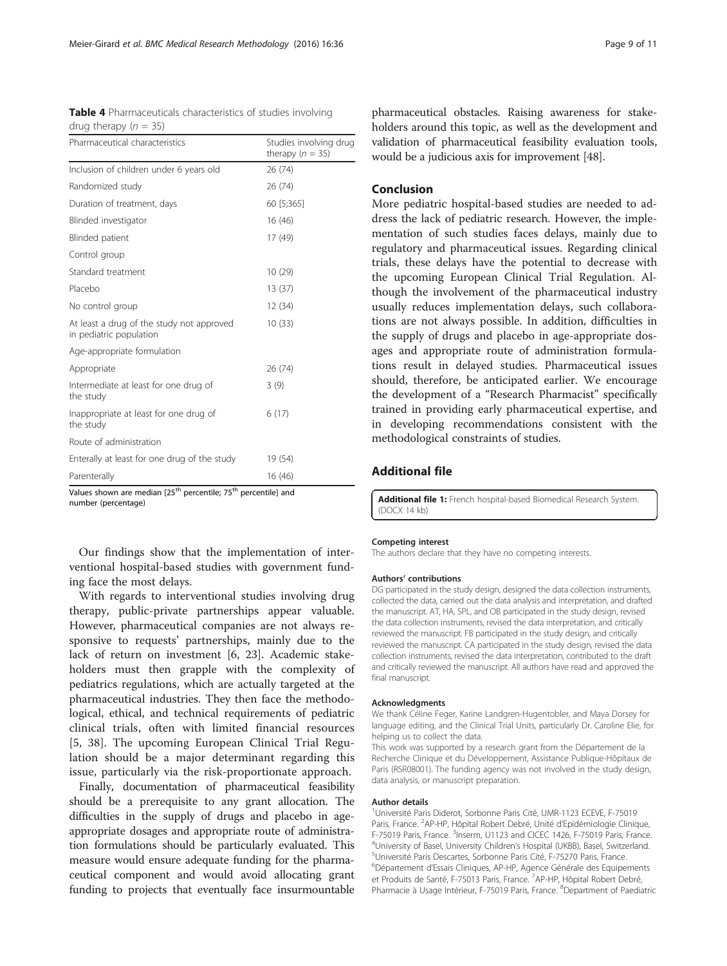<span id="page-8-0"></span>

| <b>Table 4</b> Pharmaceuticals characteristics of studies involving |  |  |
|---------------------------------------------------------------------|--|--|
| drug therapy $(n = 35)$                                             |  |  |

| Pharmaceutical characteristics                                       | Studies involving drug<br>therapy $(n = 35)$ |
|----------------------------------------------------------------------|----------------------------------------------|
| Inclusion of children under 6 years old                              | 26 (74)                                      |
| Randomized study                                                     | 26 (74)                                      |
| Duration of treatment, days                                          | 60 [5;365]                                   |
| Blinded investigator                                                 | 16 (46)                                      |
| Blinded patient                                                      | 17 (49)                                      |
| Control group                                                        |                                              |
| Standard treatment                                                   | 10(29)                                       |
| Placebo                                                              | 13(37)                                       |
| No control group                                                     | 12(34)                                       |
| At least a drug of the study not approved<br>in pediatric population | 10(33)                                       |
| Age-appropriate formulation                                          |                                              |
| Appropriate                                                          | 26 (74)                                      |
| Intermediate at least for one drug of<br>the study                   | 3(9)                                         |
| Inappropriate at least for one drug of<br>the study                  | 6(17)                                        |
| Route of administration                                              |                                              |
| Enterally at least for one drug of the study                         | 19 (54)                                      |
| Parenterally                                                         | 16 (46)                                      |

Values shown are median [25<sup>th</sup> percentile; 75<sup>th</sup> percentile] and number (percentage)

Our findings show that the implementation of interventional hospital-based studies with government funding face the most delays.

With regards to interventional studies involving drug therapy, public-private partnerships appear valuable. However, pharmaceutical companies are not always responsive to requests' partnerships, mainly due to the lack of return on investment [\[6](#page-9-0), [23\]](#page-9-0). Academic stakeholders must then grapple with the complexity of pediatrics regulations, which are actually targeted at the pharmaceutical industries. They then face the methodological, ethical, and technical requirements of pediatric clinical trials, often with limited financial resources [[5, 38](#page-9-0)]. The upcoming European Clinical Trial Regulation should be a major determinant regarding this issue, particularly via the risk-proportionate approach.

Finally, documentation of pharmaceutical feasibility should be a prerequisite to any grant allocation. The difficulties in the supply of drugs and placebo in ageappropriate dosages and appropriate route of administration formulations should be particularly evaluated. This measure would ensure adequate funding for the pharmaceutical component and would avoid allocating grant funding to projects that eventually face insurmountable

pharmaceutical obstacles. Raising awareness for stakeholders around this topic, as well as the development and validation of pharmaceutical feasibility evaluation tools, would be a judicious axis for improvement [\[48\]](#page-10-0).

## Conclusion

More pediatric hospital-based studies are needed to address the lack of pediatric research. However, the implementation of such studies faces delays, mainly due to regulatory and pharmaceutical issues. Regarding clinical trials, these delays have the potential to decrease with the upcoming European Clinical Trial Regulation. Although the involvement of the pharmaceutical industry usually reduces implementation delays, such collaborations are not always possible. In addition, difficulties in the supply of drugs and placebo in age-appropriate dosages and appropriate route of administration formulations result in delayed studies. Pharmaceutical issues should, therefore, be anticipated earlier. We encourage the development of a "Research Pharmacist" specifically trained in providing early pharmaceutical expertise, and in developing recommendations consistent with the methodological constraints of studies.

#### Additional file

[Additional file 1:](dx.doi.org/10.1186/s12874-016-0138-y) French hospital-based Biomedical Research System. (DOCX 14 kb)

#### Competing interest

The authors declare that they have no competing interests.

#### Authors' contributions

DG participated in the study design, designed the data collection instruments, collected the data, carried out the data analysis and interpretation, and drafted the manuscript. AT, HA, SPL, and OB participated in the study design, revised the data collection instruments, revised the data interpretation, and critically reviewed the manuscript. FB participated in the study design, and critically reviewed the manuscript. CA participated in the study design, revised the data collection instruments, revised the data interpretation, contributed to the draft and critically reviewed the manuscript. All authors have read and approved the final manuscript.

#### Acknowledgments

We thank Céline Feger, Karine Landgren-Hugentobler, and Maya Dorsey for language editing, and the Clinical Trial Units, particularly Dr. Caroline Elie, for helping us to collect the data.

This work was supported by a research grant from the Département de la Recherche Clinique et du Développement, Assistance Publique-Hôpitaux de Paris (RSR08001). The funding agency was not involved in the study design, data analysis, or manuscript preparation.

#### Author details

<sup>1</sup>Université Paris Diderot, Sorbonne Paris Cité, UMR-1123 ECEVE, F-75019 Paris, France. <sup>2</sup>AP-HP, Hôpital Robert Debré, Unité d'Epidémiologie Clinique, F-75019 Paris, France. <sup>3</sup> Inserm, U1123 and CICEC 1426, F-75019 Paris, France.<br><sup>4</sup> Injugative of Basel University Children's Hospital (UKRB), Basel Switzerland. <sup>4</sup>University of Basel, University Children's Hospital (UKBB), Basel, Switzerland. <sup>5</sup>Université Paris Descartes, Sorbonne Paris Cité, F-75270 Paris, France. 6 Département d'Essais Cliniques, AP-HP, Agence Générale des Equipements et Produits de Santé, F-75013 Paris, France. <sup>7</sup>AP-HP, Hôpital Robert Debré, Pharmacie à Usage Intérieur, F-75019 Paris, France. <sup>8</sup>Department of Paediatric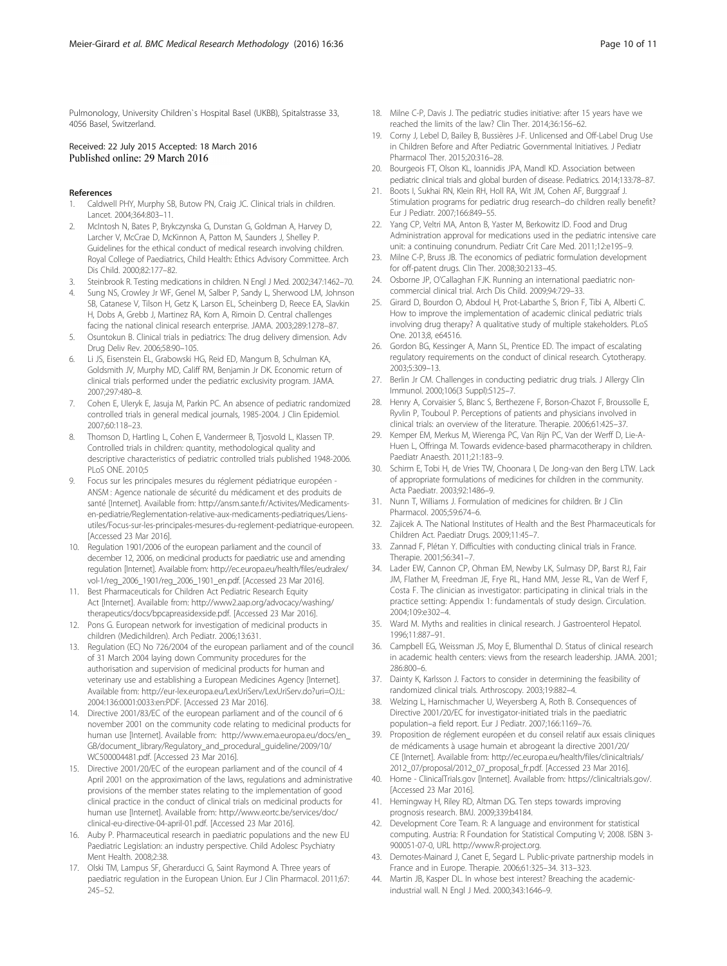<span id="page-9-0"></span>Pulmonology, University Children`s Hospital Basel (UKBB), Spitalstrasse 33, 4056 Basel, Switzerland.

#### Received: 22 July 2015 Accepted: 18 March 2016 Published online: 29 March 2016

#### References

- Caldwell PHY, Murphy SB, Butow PN, Craig JC. Clinical trials in children. Lancet. 2004;364:803–11.
- 2. McIntosh N, Bates P, Brykczynska G, Dunstan G, Goldman A, Harvey D, Larcher V, McCrae D, McKinnon A, Patton M, Saunders J, Shelley P. Guidelines for the ethical conduct of medical research involving children. Royal College of Paediatrics, Child Health: Ethics Advisory Committee. Arch Dis Child. 2000;82:177–82.
- 3. Steinbrook R. Testing medications in children. N Engl J Med. 2002;347:1462–70.
- 4. Sung NS, Crowley Jr WF, Genel M, Salber P, Sandy L, Sherwood LM, Johnson SB, Catanese V, Tilson H, Getz K, Larson EL, Scheinberg D, Reece EA, Slavkin H, Dobs A, Grebb J, Martinez RA, Korn A, Rimoin D. Central challenges facing the national clinical research enterprise. JAMA. 2003;289:1278–87.
- 5. Osuntokun B. Clinical trials in pediatrics: The drug delivery dimension. Adv Drug Deliv Rev. 2006;58:90–105.
- 6. Li JS, Eisenstein EL, Grabowski HG, Reid ED, Mangum B, Schulman KA, Goldsmith JV, Murphy MD, Califf RM, Benjamin Jr DK. Economic return of clinical trials performed under the pediatric exclusivity program. JAMA. 2007;297:480–8.
- 7. Cohen E, Uleryk E, Jasuja M, Parkin PC. An absence of pediatric randomized controlled trials in general medical journals, 1985-2004. J Clin Epidemiol. 2007;60:118–23.
- Thomson D, Hartling L, Cohen E, Vandermeer B, Tjosvold L, Klassen TP. Controlled trials in children: quantity, methodological quality and descriptive characteristics of pediatric controlled trials published 1948-2006. PLoS ONE. 2010;5
- 9. Focus sur les principales mesures du réglement pédiatrique européen ANSM : Agence nationale de sécurité du médicament et des produits de santé [Internet]. Available from: [http://ansm.sante.fr/Activites/Medicaments](http://ansm.sante.fr/Activites/Medicaments-en-pediatrie/Reglementation-relative-aux-medicaments-pediatriques/Liens-utiles/Focus-sur-les-principales-mesures-du-reglement-pediatrique-europeen)[en-pediatrie/Reglementation-relative-aux-medicaments-pediatriques/Liens](http://ansm.sante.fr/Activites/Medicaments-en-pediatrie/Reglementation-relative-aux-medicaments-pediatriques/Liens-utiles/Focus-sur-les-principales-mesures-du-reglement-pediatrique-europeen)[utiles/Focus-sur-les-principales-mesures-du-reglement-pediatrique-europeen.](http://ansm.sante.fr/Activites/Medicaments-en-pediatrie/Reglementation-relative-aux-medicaments-pediatriques/Liens-utiles/Focus-sur-les-principales-mesures-du-reglement-pediatrique-europeen) [Accessed 23 Mar 2016].
- 10. Regulation 1901/2006 of the european parliament and the council of december 12, 2006, on medicinal products for paediatric use and amending regulation [Internet]. Available from: [http://ec.europa.eu/health/files/eudralex/](http://ec.europa.eu/health/files/eudralex/vol-1/reg_2006_1901/reg_2006_1901_en.pdf) [vol-1/reg\\_2006\\_1901/reg\\_2006\\_1901\\_en.pdf.](http://ec.europa.eu/health/files/eudralex/vol-1/reg_2006_1901/reg_2006_1901_en.pdf) [Accessed 23 Mar 2016].
- 11. Best Pharmaceuticals for Children Act Pediatric Research Equity Act [Internet]. Available from: [http://www2.aap.org/advocacy/washing/](http://www2.aap.org/advocacy/washing/therapeutics/docs/bpcapreasidexside.pdf) [therapeutics/docs/bpcapreasidexside.pdf.](http://www2.aap.org/advocacy/washing/therapeutics/docs/bpcapreasidexside.pdf) [Accessed 23 Mar 2016].
- 12. Pons G. European network for investigation of medicinal products in children (Medichildren). Arch Pediatr. 2006;13:631.
- 13. Regulation (EC) No 726/2004 of the european parliament and of the council of 31 March 2004 laying down Community procedures for the authorisation and supervision of medicinal products for human and veterinary use and establishing a European Medicines Agency [Internet]. Available from: [http://eur-lex.europa.eu/LexUriServ/LexUriServ.do?uri=OJ:L:](http://eur-lex.europa.eu/LexUriServ/LexUriServ.do?uri=OJ:L:2004:136:0001:0033:en:PDF) [2004:136:0001:0033:en:PDF](http://eur-lex.europa.eu/LexUriServ/LexUriServ.do?uri=OJ:L:2004:136:0001:0033:en:PDF). [Accessed 23 Mar 2016].
- 14. Directive 2001/83/EC of the european parliament and of the council of 6 november 2001 on the community code relating to medicinal products for human use [Internet]. Available from: [http://www.ema.europa.eu/docs/en\\_](http://www.ema.europa.eu/docs/en_GB/document_library/Regulatory_and_procedural_guideline/2009/10/WC500004481.pdf) [GB/document\\_library/Regulatory\\_and\\_procedural\\_guideline/2009/10/](http://www.ema.europa.eu/docs/en_GB/document_library/Regulatory_and_procedural_guideline/2009/10/WC500004481.pdf) [WC500004481.pdf.](http://www.ema.europa.eu/docs/en_GB/document_library/Regulatory_and_procedural_guideline/2009/10/WC500004481.pdf) [Accessed 23 Mar 2016].
- 15. Directive 2001/20/EC of the european parliament and of the council of 4 April 2001 on the approximation of the laws, regulations and administrative provisions of the member states relating to the implementation of good clinical practice in the conduct of clinical trials on medicinal products for human use [Internet]. Available from: [http://www.eortc.be/services/doc/](http://www.eortc.be/services/doc/clinical-eu-directive-04-april-01.pdf) [clinical-eu-directive-04-april-01.pdf.](http://www.eortc.be/services/doc/clinical-eu-directive-04-april-01.pdf) [Accessed 23 Mar 2016].
- 16. Auby P. Pharmaceutical research in paediatric populations and the new EU Paediatric Legislation: an industry perspective. Child Adolesc Psychiatry Ment Health. 2008;2:38.
- 17. Olski TM, Lampus SF, Gherarducci G, Saint Raymond A. Three years of paediatric regulation in the European Union. Eur J Clin Pharmacol. 2011;67: 245–52.
- 18. Milne C-P, Davis J. The pediatric studies initiative: after 15 years have we reached the limits of the law? Clin Ther. 2014;36:156–62.
- 19. Corny J, Lebel D, Bailey B, Bussières J-F. Unlicensed and Off-Label Drug Use in Children Before and After Pediatric Governmental Initiatives. J Pediatr Pharmacol Ther. 2015;20:316–28.
- 20. Bourgeois FT, Olson KL, Ioannidis JPA, Mandl KD. Association between pediatric clinical trials and global burden of disease. Pediatrics. 2014;133:78–87.
- 21. Boots I, Sukhai RN, Klein RH, Holl RA, Wit JM, Cohen AF, Burggraaf J. Stimulation programs for pediatric drug research–do children really benefit? Eur J Pediatr. 2007;166:849–55.
- 22. Yang CP, Veltri MA, Anton B, Yaster M, Berkowitz ID. Food and Drug Administration approval for medications used in the pediatric intensive care unit: a continuing conundrum. Pediatr Crit Care Med. 2011;12:e195–9.
- 23. Milne C-P, Bruss JB. The economics of pediatric formulation development for off-patent drugs. Clin Ther. 2008;30:2133–45.
- 24. Osborne JP, O'Callaghan FJK. Running an international paediatric noncommercial clinical trial. Arch Dis Child. 2009;94:729–33.
- 25. Girard D, Bourdon O, Abdoul H, Prot-Labarthe S, Brion F, Tibi A, Alberti C. How to improve the implementation of academic clinical pediatric trials involving drug therapy? A qualitative study of multiple stakeholders. PLoS One. 2013;8, e64516.
- 26. Gordon BG, Kessinger A, Mann SL, Prentice ED. The impact of escalating regulatory requirements on the conduct of clinical research. Cytotherapy. 2003;5:309–13.
- 27. Berlin Jr CM. Challenges in conducting pediatric drug trials. J Allergy Clin Immunol. 2000;106(3 Suppl):S125–7.
- 28. Henry A, Corvaisier S, Blanc S, Berthezene F, Borson-Chazot F, Broussolle E, Ryvlin P, Touboul P. Perceptions of patients and physicians involved in clinical trials: an overview of the literature. Therapie. 2006;61:425–37.
- 29. Kemper EM, Merkus M, Wierenga PC, Van Rijn PC, Van der Werff D, Lie-A-Huen L, Offringa M. Towards evidence-based pharmacotherapy in children. Paediatr Anaesth. 2011;21:183–9.
- 30. Schirm E, Tobi H, de Vries TW, Choonara I, De Jong-van den Berg LTW. Lack of appropriate formulations of medicines for children in the community. Acta Paediatr. 2003;92:1486–9.
- 31. Nunn T, Williams J. Formulation of medicines for children. Br J Clin Pharmacol. 2005;59:674–6.
- 32. Zajicek A. The National Institutes of Health and the Best Pharmaceuticals for Children Act. Paediatr Drugs. 2009;11:45–7.
- 33. Zannad F, Plétan Y. Difficulties with conducting clinical trials in France. Therapie. 2001;56:341–7.
- 34. Lader EW, Cannon CP, Ohman EM, Newby LK, Sulmasy DP, Barst RJ, Fair JM, Flather M, Freedman JE, Frye RL, Hand MM, Jesse RL, Van de Werf F, Costa F. The clinician as investigator: participating in clinical trials in the practice setting: Appendix 1: fundamentals of study design. Circulation. 2004;109:e302–4.
- 35. Ward M. Myths and realities in clinical research. J Gastroenterol Hepatol. 1996;11:887–91.
- 36. Campbell EG, Weissman JS, Moy E, Blumenthal D. Status of clinical research in academic health centers: views from the research leadership. JAMA. 2001; 286:800–6.
- 37. Dainty K, Karlsson J. Factors to consider in determining the feasibility of randomized clinical trials. Arthroscopy. 2003;19:882–4.
- 38. Welzing L, Harnischmacher U, Weyersberg A, Roth B. Consequences of Directive 2001/20/EC for investigator-initiated trials in the paediatric population–a field report. Eur J Pediatr. 2007;166:1169–76.
- 39. Proposition de réglement européen et du conseil relatif aux essais cliniques de médicaments à usage humain et abrogeant la directive 2001/20/ CE [Internet]. Available from: [http://ec.europa.eu/health/files/clinicaltrials/](http://ec.europa.eu/health/files/clinicaltrials/2012_07/proposal/2012_07_proposal_fr.pdf) [2012\\_07/proposal/2012\\_07\\_proposal\\_fr.pdf.](http://ec.europa.eu/health/files/clinicaltrials/2012_07/proposal/2012_07_proposal_fr.pdf) [Accessed 23 Mar 2016].
- 40. Home ClinicalTrials.gov [Internet]. Available from: [https://clinicaltrials.gov/.](https://clinicaltrials.gov/) [Accessed 23 Mar 2016].
- 41. Hemingway H, Riley RD, Altman DG. Ten steps towards improving prognosis research. BMJ. 2009;339:b4184.
- 42. Development Core Team. R: A language and environment for statistical computing. Austria: R Foundation for Statistical Computing V; 2008. ISBN 3- 900051-07-0, URL<http://www.R-project.org>.
- 43. Demotes-Mainard J, Canet E, Segard L. Public-private partnership models in France and in Europe. Therapie. 2006;61:325–34. 313–323.
- 44. Martin JB, Kasper DL. In whose best interest? Breaching the academicindustrial wall. N Engl J Med. 2000;343:1646–9.